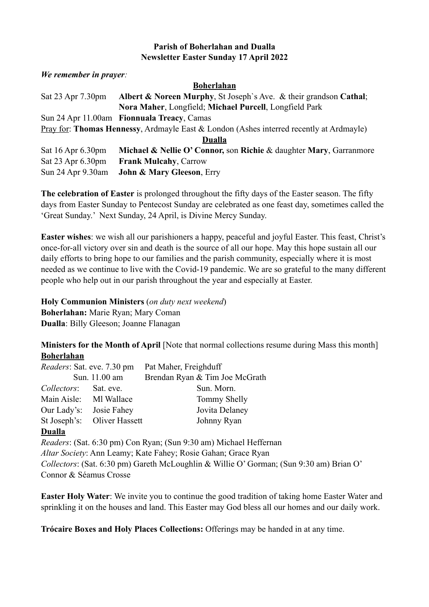## **Parish of Boherlahan and Dualla Newsletter Easter Sunday 17 April 2022**

*We remember in prayer:* 

#### **Boherlahan**

| Sat 23 Apr 7.30pm                                                                       | Albert & Noreen Murphy, St Joseph's Ave. & their grandson Cathal;  |  |  |
|-----------------------------------------------------------------------------------------|--------------------------------------------------------------------|--|--|
|                                                                                         | Nora Maher, Longfield; Michael Purcell, Longfield Park             |  |  |
|                                                                                         | Sun 24 Apr 11.00am Fionnuala Treacy, Camas                         |  |  |
| Pray for: Thomas Hennessy, Ardmayle East & London (Ashes interred recently at Ardmayle) |                                                                    |  |  |
| Dualla                                                                                  |                                                                    |  |  |
| Sat 16 Apr 6.30pm                                                                       | Michael & Nellie O' Connor, son Richie & daughter Mary, Garranmore |  |  |
| Sat 23 Apr 6.30pm                                                                       | <b>Frank Mulcahy, Carrow</b>                                       |  |  |
| Sun 24 Apr 9.30am                                                                       | <b>John &amp; Mary Gleeson, Erry</b>                               |  |  |

**The celebration of Easter** is prolonged throughout the fifty days of the Easter season. The fifty days from Easter Sunday to Pentecost Sunday are celebrated as one feast day, sometimes called the 'Great Sunday.' Next Sunday, 24 April, is Divine Mercy Sunday.

**Easter wishes**: we wish all our parishioners a happy, peaceful and joyful Easter. This feast, Christ's once-for-all victory over sin and death is the source of all our hope. May this hope sustain all our daily efforts to bring hope to our families and the parish community, especially where it is most needed as we continue to live with the Covid-19 pandemic. We are so grateful to the many different people who help out in our parish throughout the year and especially at Easter.

**Holy Communion Ministers** (*on duty next weekend*) **Boherlahan:** Marie Ryan; Mary Coman **Dualla**: Billy Gleeson; Joanne Flanagan

**Ministers for the Month of April** [Note that normal collections resume during Mass this month] **Boherlahan**

| <i>Readers:</i> Sat. eve. 7.30 pm |                             | Pat Maher, Freighduff          |
|-----------------------------------|-----------------------------|--------------------------------|
| Sun. 11.00 am                     |                             | Brendan Ryan & Tim Joe McGrath |
| Collectors: Sat. eve.             |                             | Sun. Morn.                     |
| Main Aisle: MI Wallace            |                             | Tommy Shelly                   |
| Our Lady's:                       | Josie Fahey                 | Jovita Delaney                 |
|                                   | St Joseph's: Oliver Hassett | Johnny Ryan                    |
|                                   |                             |                                |

### **Dualla**

*Readers*: (Sat. 6:30 pm) Con Ryan; (Sun 9:30 am) Michael Heffernan *Altar Society*: Ann Leamy; Kate Fahey; Rosie Gahan; Grace Ryan *Collectors*: (Sat. 6:30 pm) Gareth McLoughlin & Willie O' Gorman; (Sun 9:30 am) Brian O' Connor & Séamus Crosse

**Easter Holy Water**: We invite you to continue the good tradition of taking home Easter Water and sprinkling it on the houses and land. This Easter may God bless all our homes and our daily work.

**Trócaire Boxes and Holy Places Collections:** Offerings may be handed in at any time.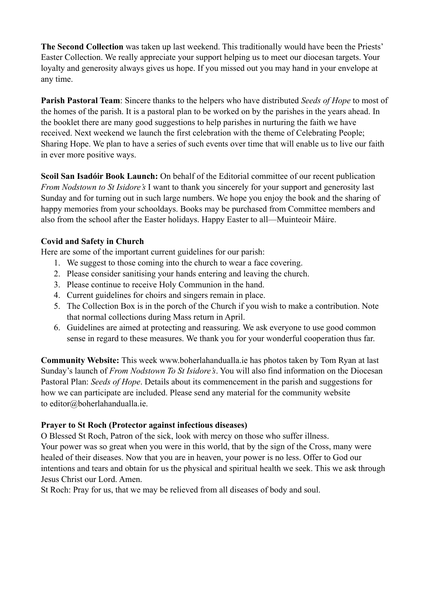**The Second Collection** was taken up last weekend. This traditionally would have been the Priests' Easter Collection. We really appreciate your support helping us to meet our diocesan targets. Your loyalty and generosity always gives us hope. If you missed out you may hand in your envelope at any time.

**Parish Pastoral Team**: Sincere thanks to the helpers who have distributed *Seeds of Hope* to most of the homes of the parish. It is a pastoral plan to be worked on by the parishes in the years ahead. In the booklet there are many good suggestions to help parishes in nurturing the faith we have received. Next weekend we launch the first celebration with the theme of Celebrating People; Sharing Hope. We plan to have a series of such events over time that will enable us to live our faith in ever more positive ways.

**Scoil San Isadóir Book Launch:** On behalf of the Editorial committee of our recent publication *From Nodstown to St Isidore's* I want to thank you sincerely for your support and generosity last Sunday and for turning out in such large numbers. We hope you enjoy the book and the sharing of happy memories from your schooldays. Books may be purchased from Committee members and also from the school after the Easter holidays. Happy Easter to all—Muinteoir Máire.

# **Covid and Safety in Church**

Here are some of the important current guidelines for our parish:

- 1. We suggest to those coming into the church to wear a face covering.
- 2. Please consider sanitising your hands entering and leaving the church.
- 3. Please continue to receive Holy Communion in the hand.
- 4. Current guidelines for choirs and singers remain in place.
- 5. The Collection Box is in the porch of the Church if you wish to make a contribution. Note that normal collections during Mass return in April.
- 6. Guidelines are aimed at protecting and reassuring. We ask everyone to use good common sense in regard to these measures. We thank you for your wonderful cooperation thus far.

**Community Website:** This week www.boherlahandualla.ie has photos taken by Tom Ryan at last Sunday's launch of *From Nodstown To St Isidore's*. You will also find information on the Diocesan Pastoral Plan: *Seeds of Hope*. Details about its commencement in the parish and suggestions for how we can participate are included. Please send any material for the community website to editor@boherlahandualla.ie.

# **Prayer to St Roch (Protector against infectious diseases)**

O Blessed St Roch, Patron of the sick, look with mercy on those who suffer illness. Your power was so great when you were in this world, that by the sign of the Cross, many were healed of their diseases. Now that you are in heaven, your power is no less. Offer to God our intentions and tears and obtain for us the physical and spiritual health we seek. This we ask through Jesus Christ our Lord. Amen.

St Roch: Pray for us, that we may be relieved from all diseases of body and soul.